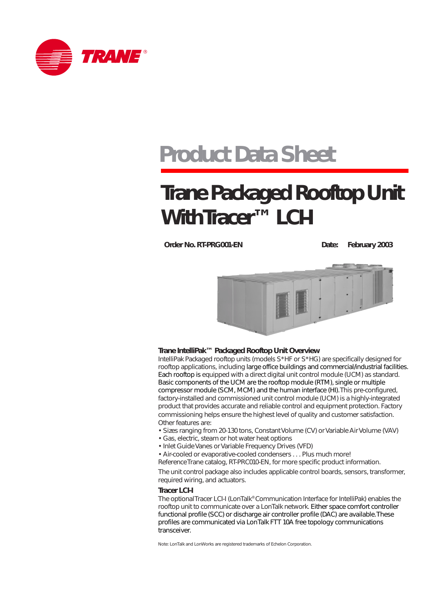

# **Product Data Sheet**

# **Trane Packaged Rooftop Unit With Tracer™ LCI-I**

**Order No. RT-PRG001-EN** Date: February 2003



### **Trane IntelliPak™ Packaged Rooftop Unit Overview**

IntelliPak Packaged rooftop units (models S\*HF or S\*HG) are specifically designed for rooftop applications, including large office buildings and commercial/industrial facilities. Each rooftop is equipped with a direct digital unit control module (UCM) as standard. Basic components of the UCM are the rooftop module (RTM), single or multiple compressor module (SCM, MCM) and the human interface (HI). This pre-configured, factory-installed and commissioned unit control module (UCM) is a highly-integrated product that provides accurate and reliable control and equipment protection. Factory commissioning helps ensure the highest level of quality and customer satisfaction. Other features are:

- Sizes ranging from 20-130 tons, Constant Volume (CV) or Variable Air Volume (VAV)
- Gas, electric, steam or hot water heat options
- Inlet Guide Vanes or Variable Frequency Drives (VFD)
- Air-cooled or evaporative-cooled condensers . . . Plus much more!
- Reference Trane catalog, RT-PRC010-EN, for more specific product information.

The unit control package also includes applicable control boards, sensors, transformer, required wiring, and actuators.

#### **Tracer LCI-I**

The optional Tracer LCI-I (LonTalk® Communication Interface for IntelliPak) enables the rooftop unit to communicate over a LonTalk network. Either space comfort controller functional profile (SCC) or discharge air controller profile (DAC) are available. These profiles are communicated via Lon Talk FTT 10A free topology communications transceiver.

Note: LonTalk and LonWorks are registered trademarks of Echelon Corporation.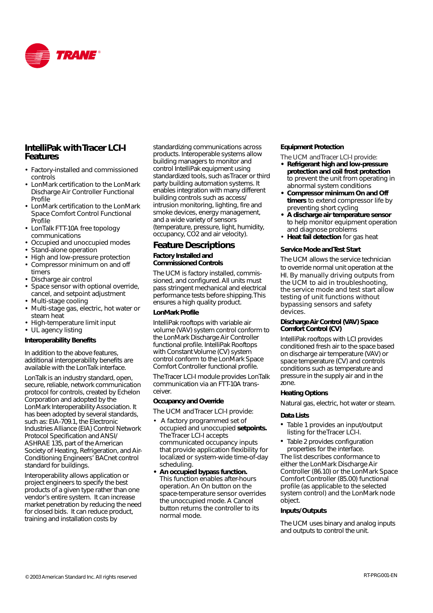

# **IntelliPak with Tracer LCI-I Features**

- Factory-installed and commissioned controls
- LonMark certification to the LonMark Discharge Air Controller Functional Profile
- LonMark certification to the LonMark Space Comfort Control Functional Profile
- LonTalk FTT-10A free topology communications
- Occupied and unoccupied modes
- Stand-alone operation
- High and low-pressure protection
- Compressor minimum on and off timers
- Discharge air control
- Space sensor with optional override, cancel, and setpoint adjustment
- Multi-stage cooling
- Multi-stage gas, electric, hot water or steam heat
- High-temperature limit input
- UL agency listing

#### **Interoperability Benefits**

In addition to the above features, additional interoperability benefits are available with the LonTalk interface.

LonTalk is an industry standard, open, secure, reliable, network communication protocol for controls, created by Echelon Corporation and adopted by the LonMark Interoperability Association. It has been adopted by several standards, such as: EIA-709.1, the Electronic Industries Alliance (EIA) Control Network Protocol Specification and ANSI/ ASHRAE 135, part of the American Society of Heating, Refrigeration, and Air-Conditioning Engineers' BACnet control standard for buildings.

Interoperability allows application or project engineers to specify the best products of a given type rather than one vendor's entire system. It can increase market penetration by reducing the need for closed bids. It can reduce product, training and installation costs by

standardizing communications across products. Interoperable systems allow building managers to monitor and control IntelliPak equipment using standardized tools, such as Tracer or third party building automation systems. It enables integration with many different building controls such as access/ intrusion monitoring, lighting, fire and smoke devices, energy management, and a wide variety of sensors (temperature, pressure, light, humidity, occupancy, CO2 and air velocity).

## **Feature Descriptions**

#### **Factory Installed and Commissioned Controls**

The UCM is factory installed, commissioned, and configured. All units must pass stringent mechanical and electrical performance tests before shipping. This ensures a high quality product.

#### **LonMark Profile**

IntelliPak rooftops with variable air volume (VAV) system control conform to the LonMark Discharge Air Controller functional profile. IntelliPak Rooftops with Constant Volume (CV) system control conform to the LonMark Space Comfort Controller functional profile.

The Tracer LCI-I module provides LonTalk communication via an FTT-10A transceiver.

#### **Occupancy and Override**

The UCM and Tracer LCI-I provide:

- A factory programmed set of occupied and unoccupied **setpoints.** The Tracer LCI-I accepts communicated occupancy inputs that provide application flexibility for localized or system-wide time-of-day scheduling.
- **An occupied bypass function.** This function enables after-hours operation. An On button on the space-temperature sensor overrides the unoccupied mode. A Cancel button returns the controller to its normal mode.

#### **Equipment Protection**

The UCM and Tracer LCI-I provide:

- **Refrigerant high and low-pressure protection and coil frost protection** to prevent the unit from operating in abnormal system conditions
- **Compressor minimum On and Off timers** to extend compressor life by preventing short cycling
- **A discharge air temperature sensor** to help monitor equipment operation and diagnose problems
- **Heat fail detection** for gas heat

#### **Service Mode and Test Start**

The UCM allows the service technician to override normal unit operation at the HI. By manually driving outputs from the UCM to aid in troubleshooting, the service mode and test start allow testing of unit functions without bypassing sensors and safety devices.

#### **Discharge Air Control (VAV) Space Comfort Control (CV)**

IntelliPak rooftops with LCI provides conditioned fresh air to the space based on discharge air temperature (VAV) or space temperature (CV) and controls conditions such as temperature and pressure in the supply air and in the zone.

#### **Heating Options**

Natural gas, electric, hot water or steam.

#### **Data Lists**

- Table 1 provides an input/output listing for the Tracer LCI-I.
- Table 2 provides configuration properties for the interface. The list describes conformance to

either the LonMark Discharge Air Controller (86.10) or the LonMark Space Comfort Controller (85.00) functional profile (as applicable to the selected system control) and the LonMark node object.

#### **Inputs/Outputs**

The UCM uses binary and analog inputs and outputs to control the unit.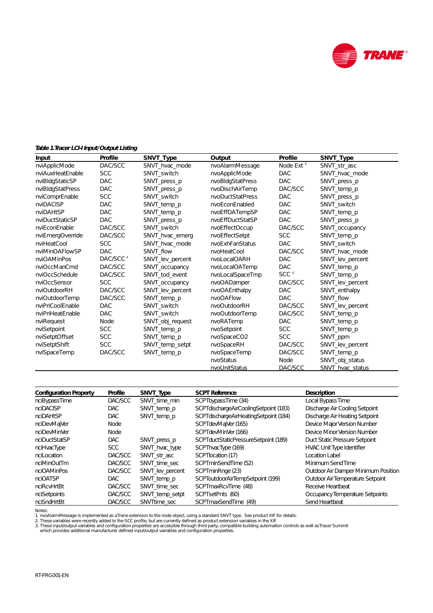

#### **Table 1. Tracer LCI-I Input/Output Listing**

| Input            | Profile              | SNVT_Type        | Output           | Profile               | SNVT_Type        |
|------------------|----------------------|------------------|------------------|-----------------------|------------------|
| nviApplicMode    | DAC/SCC              | SNVT_hvac_mode   | nvoAlarmMessage  | Node Ext <sup>1</sup> | SNVT_str_asc     |
| nviAuxHeatEnable | <b>SCC</b>           | SNVT_switch      | nvoApplicMode    | <b>DAC</b>            | SNVT_hvac_mode   |
| nviBldgStaticSP  | <b>DAC</b>           | SNVT_press_p     | nvoBldgStatPress | <b>DAC</b>            | SNVT_press_p     |
| nviBldgStatPress | <b>DAC</b>           | SNVT_press_p     | nvoDischAirTemp  | DAC/SCC               | SNVT_temp_p      |
| nviComprEnable   | <b>SCC</b>           | SNVT switch      | nvoDuctStatPress | <b>DAC</b>            | SNVT_press_p     |
| nviDACISP        | <b>DAC</b>           | SNVT_temp_p      | nvoEconEnabled   | <b>DAC</b>            | SNVT_switch      |
| nviDAHtSP        | <b>DAC</b>           | SNVT_temp_p      | nvoEffDATempSP   | <b>DAC</b>            | SNVT_temp_p      |
| nviDuctStaticSP  | <b>DAC</b>           | SNVT_press_p     | nvoEffDuctStatSP | <b>DAC</b>            | SNVT_press_p     |
| nviEconEnable    | DAC/SCC              | SNVT switch      | nvoEffectOccup   | DAC/SCC               | SNVT_occupancy   |
| nviEmergOverride | DAC/SCC              | SNVT_hvac_emerg  | nvoEffectSetpt   | <b>SCC</b>            | SNVT_temp_p      |
| nviHeatCool      | <b>SCC</b>           | SNVT hvac mode   | nvoExhFanStatus  | <b>DAC</b>            | SNVT switch      |
| nviMinOAFlowSP   | <b>DAC</b>           | SNVT flow        | nvoHeatCool      | DAC/SCC               | SNVT_hvac_mode   |
| nviOAMinPos      | DAC/SCC <sup>2</sup> | SNVT lev percent | nvoLocalOARH     | DAC                   | SNVT_lev_percent |
| nviOccManCmd     | DAC/SCC              | SNVT_occupancy   | nvoLocalOATemp   | <b>DAC</b>            | SNVT_temp_p      |
| nviOccSchedule   | DAC/SCC              | SNVT tod event   | nvoLocalSpaceTmp | SCC $^2$              | SNVT_temp_p      |
| nviOccSensor     | <b>SCC</b>           | SNVT_occupancy   | nvoOADamper      | DAC/SCC               | SNVT_lev_percent |
| nviOutdoorRH     | DAC/SCC              | SNVT_lev_percent | nvoOAEnthalpy    | <b>DAC</b>            | SNVT enthalpy    |
| nviOutdoorTemp   | DAC/SCC              | SNVT_temp_p      | nvoOAFlow        | <b>DAC</b>            | SNVT_flow        |
| nviPriCoolEnable | <b>DAC</b>           | SNVT switch      | nvoOutdoorRH     | DAC/SCC               | SNVT_lev_percent |
| nviPriHeatEnable | <b>DAC</b>           | SNVT_switch      | nvoOutdoorTemp   | DAC/SCC               | SNVT_temp_p      |
| nviRequest       | Node                 | SNVT_obj_request | nvoRATemp        | <b>DAC</b>            | SNVT_temp_p      |
| nviSetpoint      | <b>SCC</b>           | SNVT_temp_p      | nvoSetpoint      | <b>SCC</b>            | SNVT_temp_p      |
| nviSetptOffset   | <b>SCC</b>           | SNVT_temp_p      | nvoSpaceCO2      | <b>SCC</b>            | SNVT_ppm         |
| nviSetptShift    | <b>SCC</b>           | SNVT_temp_setpt  | nvoSpaceRH       | DAC/SCC               | SNVT_lev_percent |
| nviSpaceTemp     | DAC/SCC              | SNVT_temp_p      | nvoSpaceTemp     | DAC/SCC               | SNVT_temp_p      |
|                  |                      |                  | nvoStatus        | Node                  | SNVT_obj_status  |
|                  |                      |                  | nvoUnitStatus    | DAC/SCC               | SNVT hvac status |

| <b>Configuration Property</b> | Profile    | SNVT_Type        | <b>SCPT Reference</b>                 | Description                         |
|-------------------------------|------------|------------------|---------------------------------------|-------------------------------------|
| nciBypassTime                 | DAC/SCC    | SNVT time min    | SCPTbypassTime (34)                   | Local Bypass Time                   |
| nciDACISP                     | <b>DAC</b> | SNVT temp p      | SCPTdischargeAirCoolingSetpoint (183) | Discharge Air Cooling Setpoint      |
| nciDAHtSP                     | <b>DAC</b> | SNVT temp p      | SCPTdischargeAirHeatingSetpoint (184) | Discharge Air Heating Setpoint      |
| nciDevMajVer                  | Node       |                  | SCPTdevMajVer (165)                   | Device Major Version Number         |
| nciDevMinVer                  | Node       |                  | SCPTdevMinVer (166)                   | Device Minor Version Number         |
| nciDuctStatSP                 | <b>DAC</b> | SNVT press p     | SCPTductStaticPressureSetpoint (189)  | Duct Static Pressure Setpoint       |
| nciHvacType                   | <b>SCC</b> | SNVT_hvac_type   | SCPThvacType (169)                    | <b>HVAC Unit Type Identifier</b>    |
| ncil ocation                  | DAC/SCC    | SNVT_str_asc     | SCPTIocation (17)                     | Location Label                      |
| nciMinOutTm                   | DAC/SCC    | SNVT_time_sec    | SCPTminSendTime (52)                  | Minimum Send Time                   |
| nciOAMinPos                   | DAC/SCC    | SNVT lev percent | SCPTminRnge (23)                      | Outdoor Air Damper Minimum Position |
| nciOATSP                      | DAC.       | SNVT_temp_p      | SCPToutdoorAirTempSetpoint (199)      | Outdoor Air Temperature Setpoint    |
| nciRcvHrtBt                   | DAC/SCC    | SNVT time sec    | SCPTmaxRcvTime (48)                   | Receive Heartbeat                   |
| nciSetpoints                  | DAC/SCC    | SNVT_temp_setpt  | SCPTsetPnts (60)                      | Occupancy Temperature Setpoints     |
| nciSndHrtBt                   | DAC/SCC    | SNVTtime sec     | SCPTmaxSendTime (49)                  | Send Heartbeat                      |

Notes:<br>1. nvoAlarmMessage is implemented as aTrane extension to the node object, using a standard SNVT type. See product XIF for details.<br>2. These variables were recently added to the SCC profile, but are currently defined